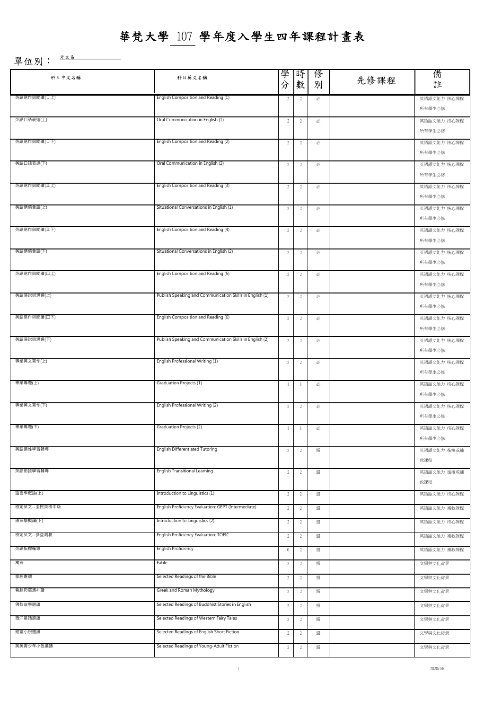| 科目中文名稱       | 科目英文名稱                                                   | 學<br>時<br>俢<br>先修課程<br>分<br>數<br>別 |                |   |  | 備<br>註                |
|--------------|----------------------------------------------------------|------------------------------------|----------------|---|--|-----------------------|
| 英語寫作與閱讀(I上)  | English Composition and Reading (1)                      | $\overline{2}$                     | $\overline{2}$ | 必 |  | 英語語文能力 核心課程<br>所有學生必修 |
| 英語口語表達(上)    | Oral Communication in English (1)                        | $\overline{2}$                     | $\overline{2}$ | 必 |  | 英語語文能力 核心課程<br>所有學生必修 |
| 英語寫作與閱讀(I下)  | English Composition and Reading (2)                      | $\overline{2}$                     | $\overline{2}$ | 必 |  | 英語語文能力 核心課程<br>所有學生必修 |
| 英語口語表達(下)    | Oral Communication in English (2)                        | $\overline{c}$                     | $\overline{c}$ | 必 |  | 英語語文能力 核心課程<br>所有學生必修 |
| 英語寫作與閱讀(IL上) | English Composition and Reading (3)                      | $\overline{c}$                     | $\overline{2}$ | 必 |  | 英語語文能力 核心課程<br>所有學生必修 |
| 英語情境會話(上)    | Situational Conversations in English (1)                 | $\overline{2}$                     | $\overline{c}$ | 必 |  | 英語語文能力 核心課程<br>所有學生必修 |
| 英語寫作與閱讀(IT下) | English Composition and Reading (4)                      | $\overline{2}$                     | $\overline{c}$ | 必 |  | 英語語文能力 核心課程<br>所有學生必修 |
| 英語情境會話(下)    | Situational Conversations in English (2)                 | $\overline{2}$                     | $\overline{c}$ | 必 |  | 英語語文能力 核心課程<br>所有學生必修 |
| 英語寫作與閱讀(Ⅲ上)  | English Composition and Reading (5)                      | $\overline{2}$                     | $\overline{2}$ | 必 |  | 英語語文能力 核心課程<br>所有學生必修 |
| 英語演說與溝通(上)   | Publish Speaking and Communication Skills in English (1) | $\overline{2}$                     | $\overline{c}$ | 必 |  | 英語語文能力 核心課程<br>所有學生必修 |
| 英語寫作與閱讀(Ⅲ下)  | English Composition and Reading (6)                      | $\overline{2}$                     | $\overline{2}$ | 必 |  | 英語語文能力 核心課程<br>所有學生必修 |
| 英語演說與溝通(下)   | Publish Speaking and Communication Skills in English (2) | $\overline{2}$                     | $\overline{2}$ | 必 |  | 英語語文能力 核心課程<br>所有學生必修 |
| 專業英文寫作(上)    | English Professional Writing (1)                         | $\overline{2}$                     | $\overline{c}$ | 必 |  | 英語語文能力 核心課程<br>所有學生必修 |
| 畢業專題(上)      | Graduation Projects (1)                                  | $\mathbf{1}$                       | $\mathbf{1}$   | 必 |  | 英語語文能力 核心課程<br>所有學生必修 |
| 專業英文寫作(下)    | English Professional Writing (2)                         | $\overline{2}$                     | $\overline{2}$ | 必 |  | 英語語文能力 核心課程<br>所有學生必修 |
| 畢業專題(下)      | Graduation Projects (2)                                  | -1                                 | -1             | 必 |  | 英語語文能力 核心課程<br>所有學生必修 |
| 英語適性學習輔導     | English Differentiated Tutoring                          | $\overline{c}$                     | $\overline{c}$ | 選 |  | 英語語文能力 銜接或補<br>救課程    |
| 英語銜接學習輔導     | <b>English Transitional Learning</b>                     | $\overline{c}$                     | $\overline{2}$ | 選 |  | 英語語文能力 銜接或補<br>救課程    |
| 語言學概論(上)     | Introduction to Linguistics (1)                          | $\overline{2}$                     | $\overline{c}$ | 選 |  | 英語語文能力 核心課程           |
| 檢定英文--全民英檢中級 | English Proficiency Evaluation: GEPT (Intermediate)      | $\overline{2}$                     | 2              | 選 |  | 英語語文能力 補救課程           |
| 語言學概論(下)     | Introduction to Linguistics (2)                          | $\overline{2}$                     | $\overline{2}$ | 選 |  | 英語語文能力 核心課程           |
| 檢定英文--多益測驗   | English Proficiency Evaluation: TOEIC                    | $\overline{2}$                     | $\overline{2}$ | 選 |  | 英語語文能力 補救課程           |
| 英語指標輔導       | <b>English Proficiency</b>                               | $\mathbf 0$                        | $\overline{2}$ | 選 |  | 英語語文能力 補救課程           |
| 寓言           | Fable                                                    | $\overline{2}$                     | $\overline{c}$ | 選 |  | 文學與文化背景               |
| 聖經選讀         | Selected Readings of the Bible                           | $\overline{2}$                     | $\overline{2}$ | 選 |  | 文學與文化背景               |
| 希臘與羅馬神話      | Greek and Roman Mythology                                | $\overline{2}$                     | $\overline{2}$ | 選 |  | 文學與文化背景               |
| 佛教故事選讀       | Selected Readings of Buddhist Stories in English         | $\overline{2}$                     | $\sqrt{2}$     | 選 |  | 文學與文化背景               |
| 西洋童話選讀       | Selected Readings of Western Fairy Tales                 | $\overline{2}$                     | 2              | 選 |  | 文學與文化背景               |
| 短篇小說選讀       | Selected Readings of English Short Fiction               | $\overline{2}$                     | $\overline{c}$ | 選 |  | 文學與文化背景               |
| 英美青少年小說選讀    | Selected Readings of Young-Adult Fiction                 | 2                                  | $\overline{c}$ | 選 |  | 文學與文化背景               |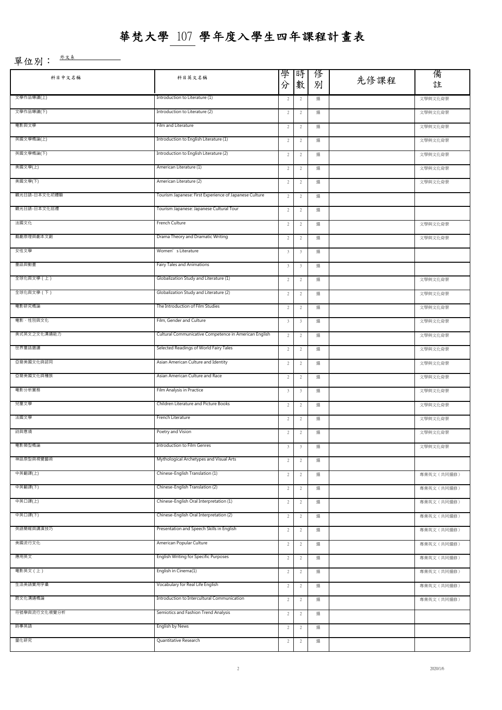| 科目中文名稱       | 科目英文名稱                                                 | 學<br>時<br>分<br>數 |                         | 俢<br>別 | 先修課程 | 備<br>註      |
|--------------|--------------------------------------------------------|------------------|-------------------------|--------|------|-------------|
| 文學作品導讀(上)    | Introduction to Literature (1)                         | $\overline{c}$   | $\overline{c}$          | 選      |      | 文學與文化背景     |
| 文學作品導讀(下)    | Introduction to Literature (2)                         | $\overline{c}$   | $\overline{c}$          | 選      |      | 文學與文化背景     |
| 電影與文學        | Film and Literature                                    | $\overline{c}$   | $\overline{c}$          | 選      |      | 文學與文化背景     |
| 英國文學概論(上)    | Introduction to English Literature (1)                 | $\overline{c}$   | $\overline{2}$<br>選     |        |      | 文學與文化背景     |
| 英國文學概論(下)    | Introduction to English Literature (2)                 | $\overline{c}$   | $\overline{2}$          | 選      |      | 文學與文化背景     |
| 美國文學(上)      | American Literature (1)                                | $\overline{c}$   | $\overline{c}$          | 選      |      | 文學與文化背景     |
| 美國文學(下)      | American Literature (2)                                | $\overline{c}$   | $\overline{c}$          | 選      |      | 文學與文化背景     |
| 觀光日語-日本文化初體驗 | Tourism Japanese: First Experience of Japanese Culture | $\overline{2}$   | $\overline{c}$          | 選      |      |             |
| 觀光日語-日本文化巡禮  | Tourism Japanese: Japanese Cultural Tour               | $\overline{c}$   | $\overline{2}$          | 選      |      |             |
| 法國文化         | French Culture                                         | $\overline{c}$   | $\overline{c}$          | 選      |      | 文學與文化背景     |
| 戲劇原理與劇本文創    | Drama Theory and Dramatic Writing                      | $\overline{c}$   | $\overline{c}$          | 選      |      | 文學與文化背景     |
| 女性文學         | Women's Literature                                     | $\mathbf{3}$     | $\overline{\mathbf{3}}$ | 選      |      |             |
| 童話與動畫        | Fairy Tales and Animations                             | $\mathbf{3}$     | $\overline{\mathbf{3}}$ | 選      |      |             |
| 全球化與文學(上)    | Globalization Study and Literature (1)                 | $\overline{c}$   | $\overline{2}$          | 選      |      | 文學與文化背景     |
| 全球化與文學(下)    | Globalization Study and Literature (2)                 | $\overline{c}$   | $\overline{2}$          | 選      |      | 文學與文化背景     |
| 電影研究概論       | The Introduction of Film Studies                       | $\overline{c}$   | $\overline{2}$          | 選      |      | 文學與文化背景     |
| 電影、性別與文化     | Film, Gender and Culture                               | $_{3}$           | $\overline{\mathbf{3}}$ | 選      |      | 文學與文化背景     |
| 美式英文之文化溝通能力  | Cultural Communicative Competence in American English  | $\overline{2}$   | $\overline{2}$          | 選      |      | 文學與文化背景     |
| 世界童話選讀       | Selected Readings of World Fairy Tales                 | $\overline{c}$   | $\overline{2}$          | 選      |      | 文學與文化背景     |
| 亞裔美國文化與認同    | Asian American Culture and Identity                    | $\overline{c}$   | $\overline{2}$          | 選      |      | 文學與文化背景     |
| 亞裔美國文化與種族    | Asian American Culture and Race                        | $\overline{c}$   | $\overline{c}$          | 選      |      | 文學與文化背景     |
| 電影分析實務       | Film Analysis in Practice                              | $\mathbf{3}$     | $\overline{\mathbf{3}}$ | 選      |      | 文學與文化背景     |
| 兒童文學         | Children Literature and Picture Books                  | $\overline{c}$   | $\overline{c}$          | 選      |      | 文學與文化背景     |
| 法國文學         | French Literature                                      | $\overline{c}$   | $\overline{c}$          | 選      |      | 文學與文化背景     |
| 詩與意境         | Poetry and Vision<br>2                                 |                  | 2                       | 選      |      | 文學與文化背景     |
| 電影類型概論       | Introduction to Film Genres                            | 3                | $\overline{z}$          | 選      |      | 乂学與乂化育景     |
| 神話原型與視覺藝術    | Mythological Archetypes and Visual Arts                | $\overline{c}$   | $\overline{c}$          | 選      |      |             |
| 中英翻譯(上)      | Chinese-English Translation (1)                        | $\overline{c}$   | $\overline{2}$          | 選      |      | 專業英文 (共同選修) |
| 中英翻譯(下)      | Chinese-English Translation (2)                        | $\overline{c}$   | $\overline{2}$          | 選      |      | 專業英文 (共同選修) |
| 中英口譯(上)      | Chinese-English Oral Interpretation (1)                | $\overline{c}$   | $\overline{c}$          | 選      |      | 專業英文 (共同選修) |
| 中英口譯(下)      | Chinese-English Oral Interpretation (2)                | $\overline{c}$   | $\overline{c}$          | 選      |      | 專業英文 (共同選修) |
| 英語簡報與講演技巧    | Presentation and Speech Skills in English              | $\overline{c}$   | $\overline{2}$          | 選      |      | 專業英文 (共同選修) |
| 美國流行文化       | American Popular Culture                               | $\overline{c}$   | $\overline{2}$          | 選      |      | 專業英文 (共同選修) |
| 應用英文         | English Writing for Specific Purposes                  | $\overline{c}$   | $\overline{c}$          | 選      |      | 專業英文 (共同選修) |
| 電影英文 (上)     | English in Cinema(1)                                   | $\overline{c}$   | $\overline{c}$          | 選      |      | 專業英文 (共同選修) |
| 生活美語實用字彙     | Vocabulary for Real Life English                       | $\overline{c}$   | $\overline{c}$          | 選      |      | 專業英文 (共同選修) |
| 跨文化溝通概論      | Introduction to Intercultural Communication            | $\overline{c}$   | $\overline{2}$          | 選      |      | 專業英文 (共同選修) |
| 符號學與流行文化視覺分析 | Semiotics and Fashion Trend Analysis                   | $\overline{c}$   | $\overline{c}$          | 選      |      |             |
| 時事英語         | English by News                                        | $\overline{c}$   | $\overline{c}$          | 選      |      |             |
| 量化研究         | Quantitative Research                                  | $\overline{c}$   | $\overline{2}$          | 選      |      |             |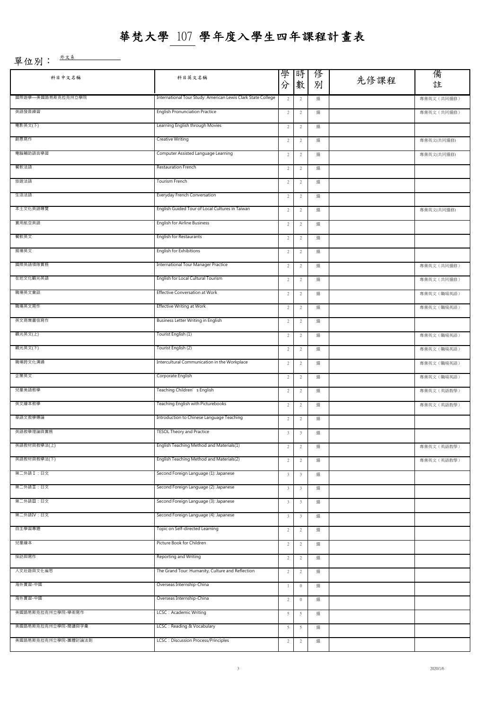| 科目中文名稱              | 科目英文名稱                                                           | 學<br>分                                | 時<br>數                  | 俢<br>別 | 先修課程        | 備<br>註      |
|---------------------|------------------------------------------------------------------|---------------------------------------|-------------------------|--------|-------------|-------------|
| 國際遊學—美國路易斯克拉克州立學院   | International Tour Study: American Lewis Clark State College     | $\overline{c}$                        | 選                       |        | 專業英文 (共同選修) |             |
| 英語發音練習              | <b>English Pronunciation Practice</b>                            | $\overline{c}$<br>$\overline{2}$<br>選 |                         |        |             | 專業英文 (共同選修) |
| 電影英文(下)             | Learning English through Movies                                  |                                       | $\overline{c}$          | 選      |             |             |
| 創意寫作                | <b>Creative Writing</b><br>$\overline{c}$<br>$\overline{c}$<br>選 |                                       |                         |        | 專業英文(共同選修)  |             |
| 電腦輔助語言學習            | Computer Assisted Language Learning                              | $\overline{c}$                        | $\sqrt{2}$              | 選      |             | 專業英文(共同選修)  |
| 餐飲法語                | Restauration French                                              | $\overline{c}$                        | $\overline{c}$          | 選      |             |             |
| 旅遊法語                | Tourism French                                                   | $\overline{c}$                        | $\overline{c}$          | 選      |             |             |
| 生活法語                | Everyday French Conversation                                     | $\overline{c}$                        | $\overline{c}$          | 選      |             |             |
| 本土文化英語導覽            | English Guided Tour of Local Cultures in Taiwan                  | $\overline{c}$                        | $\overline{c}$          | 選      |             | 專業英文(共同選修)  |
| 實用航空英語              | English for Airline Business                                     | $\overline{c}$                        | $\overline{c}$          | 選      |             |             |
| 餐飲英文                | English for Restaurants                                          | $\overline{c}$                        | $\overline{c}$          | 選      |             |             |
| 展場英文                | English for Exhibitions                                          | $\overline{c}$                        | $\overline{2}$          | 選      |             |             |
| 國際英語領隊實務            | <b>International Tour Manager Practice</b>                       | $\overline{c}$                        | $\overline{c}$          | 選      |             | 專業英文 (共同選修) |
| 在地文化觀光英語            | English for Local Cultural Tourism                               | 2                                     | $\overline{c}$          | 選      |             | 專業英文 (共同選修) |
| 職場英文會話              | Effective Conversation at Work                                   | 2                                     | $\overline{c}$          | 選      |             | 專業英文 (職場英語) |
| 職場英文寫作              | Effective Writing at Work                                        | $\overline{c}$                        | $\overline{2}$          | 選      |             | 專業英文 (職場英語) |
| 英文商業書信寫作            | Business Letter Writing in English                               | 2                                     | $\overline{c}$          | 選      |             |             |
| 觀光英文(上)             | Tourist English (1)                                              | 2                                     | $\overline{c}$          | 選      |             | 專業英文 (職場英語) |
| 觀光英文(下)             | Tourist English (2)                                              | $\overline{c}$                        | $\overline{c}$          | 選      |             | 專業英文 (職場英語) |
| 職場跨文化溝通             | Intercultural Communication in the Workplace                     | 2                                     | $\overline{2}$          | 選      |             | 專業英文 (職場英語) |
| 企業英文                | Corporate English                                                | 2                                     | $\overline{2}$          | 選      |             | 專業英文 (職場英語) |
| 兒童美語教學              | Teaching Children's English                                      | $\overline{c}$                        | $\overline{c}$          | 選      |             | 專業英文 (英語教學) |
| 英文繪本教學              | Teaching English with Picturebooks                               | $\overline{c}$                        | $\overline{c}$          | 選      |             | 專業英文 (英語教學) |
| 華語文教學導論             | Introduction to Chinese Language Teaching                        | 2                                     | $\overline{c}$          | 選      |             |             |
| 英語教學理論與實務           | <b>TESOL Theory and Practice</b>                                 | 3                                     | 3                       | 選      |             |             |
| 央祜叙忉哭叙学法(工)         | English Teaching Method and Materials(I)                         | $\overline{c}$                        | $\overline{c}$          | 選      |             | 專業英文(英語教學)  |
| 英語教材與教學法(下)         | English Teaching Method and Materials(2)                         | $\overline{c}$                        | $\overline{2}$          | 選      |             | 專業英文 (英語教學) |
| 第二外語I:日文            | Second Foreign Language (1): Japanese                            | 3                                     | $\overline{\mathbf{3}}$ | 選      |             |             |
| 第二外語Ⅱ:日文            | Second Foreign Language (2): Japanese                            | $\mathbf{3}$                          | $\overline{\mathbf{3}}$ | 選      |             |             |
| 第二外語Ⅲ:日文            | Second Foreign Language (3): Japanese                            | 3                                     | $\overline{\mathbf{3}}$ | 選      |             |             |
| 第二外語IV:日文           | Second Foreign Language (4): Japanese                            | 3                                     | $\overline{\mathbf{3}}$ | 選      |             |             |
| 自主學習專題              | Topic on Self-directed Learning                                  | $\overline{c}$                        | $\overline{2}$          | 選      |             |             |
| 兒童繪本                | Picture Book for Children                                        | $\overline{c}$                        | $\overline{c}$          | 選      |             |             |
| 採訪與寫作               | Reporting and Writing                                            | $\overline{c}$                        | 2                       | 選      |             |             |
| 人文壯遊與文化省思           | The Grand Tour: Humanity, Culture and Reflection                 | $\overline{c}$                        | $\overline{c}$          | 選      |             |             |
| 海外實習-中國             | Overseas Internship-China                                        | $\mathbf{1}$                          | $\mathbf 0$             | 選      |             |             |
| 海外實習-中國             | Overseas Internship-China                                        | $\overline{c}$                        | $\mathbf 0$             | 選      |             |             |
| 美國路易斯克拉克州立學院-學術寫作   | LCSC: Academic Writing                                           | 5                                     | -5                      | 選      |             |             |
| 美國路易斯克拉克州立學院-閱讀與字彙  | LCSC: Reading & Vocabulary                                       | 5                                     | 5                       | 選      |             |             |
| 美國路易斯克拉克州立學院-團體討論法則 | <b>LCSC</b> : Discussion Process/Principles                      | $\overline{c}$                        | 2                       | 選      |             |             |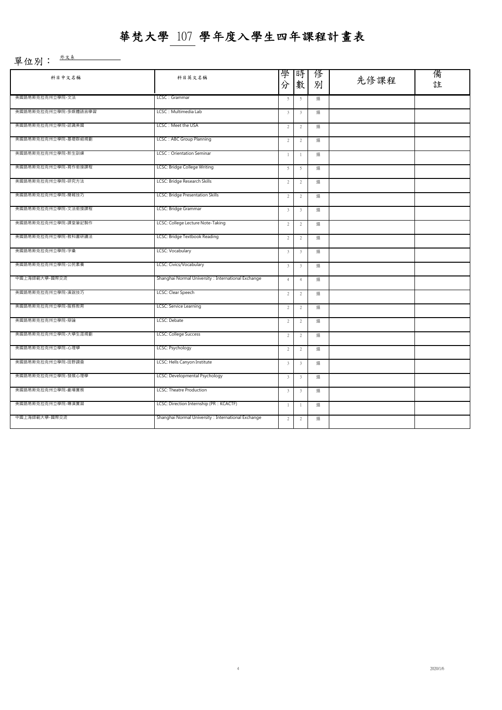| 科目中文名稱               | 科目英文名稱                                              | 學<br>分                  | 時<br>數                  | 俢<br>別 | 先修課程 | 備<br>註 |
|----------------------|-----------------------------------------------------|-------------------------|-------------------------|--------|------|--------|
| 美國路易斯克拉克州立學院-文法      | LCSC: Grammar                                       | 5                       | 5                       | 選      |      |        |
| 美國路易斯克拉克州立學院-多媒體語言學習 | LCSC: Multimedia Lab                                |                         | $\overline{\mathbf{3}}$ | 選      |      |        |
| 美國路易斯克拉克州立學院-認識美國    | LCSC: Meet the USA                                  | $\overline{2}$          | 2                       | 選      |      |        |
| 美國路易斯克拉克州立學院-基礎群組規劃  | LCSC: ABC Group Planning                            | $\overline{2}$          | $\overline{2}$          | 選      |      |        |
| 美國路易斯克拉克州立學院-新生訓練    | <b>LCSC: Orientation Seminar</b>                    | $\mathbf{1}$            | $\mathbf{1}$            | 選      |      |        |
| 美國路易斯克拉克州立學院-寫作銜接課程  | LCSC: Bridge College Writing                        | 5                       | 5                       | 選      |      |        |
| 美國路易斯克拉克州立學院-研究方法    | LCSC: Bridge Research Skills                        | $\overline{2}$          | $\overline{2}$          | 選      |      |        |
| 美國路易斯克拉克州立學院-簡報技巧    | LCSC: Bridge Presentation Skills                    | $\overline{2}$          | $\sqrt{2}$              | 選      |      |        |
| 美國路易斯克拉克州立學院-文法銜接課程  | LCSC: Bridge Grammar                                | $\overline{\mathbf{3}}$ | $\overline{\mathbf{3}}$ | 選      |      |        |
| 美國路易斯克拉克州立學院-課堂筆記製作  | LCSC: College Lecture Note-Taking                   | $\overline{2}$          | $\overline{2}$          | 選      |      |        |
| 美國路易斯克拉克州立學院-教科書研讀法  | LCSC: Bridge Textbook Reading                       | $\overline{2}$          | $\overline{2}$          | 選      |      |        |
| 美國路易斯克拉克州立學院-字彙      | LCSC: Vocabulary                                    | $\overline{\mathbf{3}}$ | $\overline{\mathbf{3}}$ | 選      |      |        |
| 美國路易斯克拉克州立學院-公民素養    | LCSC: Civics/Vocabulary                             | $\mathbf{3}$            | $\overline{\mathbf{3}}$ | 選      |      |        |
| 中國上海師範大學-國際交流        | Shanghai Normal University : International Exchange | $\overline{4}$          | $\overline{4}$          | 選      |      |        |
| 美國路易斯克拉克州立學院-演說技巧    | LCSC: Clear Speech                                  |                         | $\sqrt{2}$              | 選      |      |        |
| 美國路易斯克拉克州立學院-服務教育    | LCSC: Service Learning                              | $\overline{2}$          | $\sqrt{2}$              | 選      |      |        |
| 美國路易斯克拉克州立學院-辯論      | LCSC: Debate                                        | $\overline{2}$          | $\overline{2}$          | 選      |      |        |
| 美國路易斯克拉克州立學院-大學生涯規劃  | LCSC: College Success                               | $\overline{2}$          | $\overline{2}$          | 選      |      |        |
| 美國路易斯克拉克州立學院-心理學     | LCSC: Psychology                                    | $\overline{2}$          | $\overline{2}$          | 選      |      |        |
| 美國路易斯克拉克州立學院-田野調查    | LCSC: Hells Canyon Institute                        | $\overline{3}$          | $\overline{\mathbf{3}}$ | 選      |      |        |
| 美國路易斯克拉克州立學院-發展心理學   | LCSC: Developmental Psychology                      | $\mathbf{3}$            | $\overline{\mathbf{3}}$ | 選      |      |        |
| 美國路易斯克拉克州立學院-劇場實務    | LCSC: Theatre Production                            | $\overline{\mathbf{3}}$ | 3                       | 選      |      |        |
| 美國路易斯克拉克州立學院-導演實習    | LCSC: Direction Internship (PR : KCACTF)            | $\mathbf{1}$            | $\mathbf{1}$            | 選      |      |        |
| 中國上海師範大學-國際交流        | Shanghai Normal University : International Exchange | $\overline{2}$          | $\overline{c}$          | 選      |      |        |